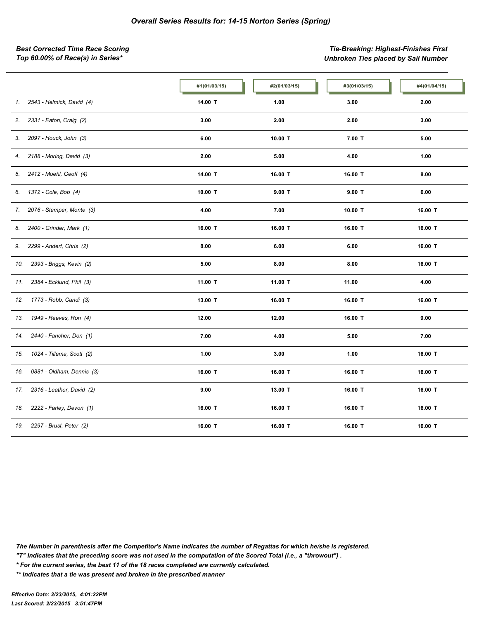*Best Corrected Time Race Scoring Tie-Breaking: Highest-Finishes First Top 60.00% of Race(s) in Series\* Unbroken Ties placed by Sail Number*

|     |                           | #1(01/03/15) | #2(01/03/15) | #3(01/03/15) | #4(01/04/15) |
|-----|---------------------------|--------------|--------------|--------------|--------------|
| 1.  | 2543 - Helmick, David (4) | 14.00 T      | 1.00         | 3.00         | 2.00         |
| 2.  | 2331 - Eaton, Craig (2)   | 3.00         | 2.00         | 2.00         | 3.00         |
| 3.  | 2097 - Houck, John (3)    | 6.00         | 10.00 T      | $7.00$ T     | 5.00         |
| 4.  | 2188 - Moring, David (3)  | 2.00         | 5.00         | 4.00         | 1.00         |
| 5.  | 2412 - Moehl, Geoff (4)   | 14.00 T      | 16.00 T      | 16.00 T      | 8.00         |
| 6.  | 1372 - Cole, Bob (4)      | 10.00 T      | $9.00$ T     | $9.00$ T     | 6.00         |
| 7.  | 2076 - Stamper, Monte (3) | 4.00         | 7.00         | 10.00 T      | 16.00 T      |
| 8.  | 2400 - Grinder, Mark (1)  | 16.00 T      | 16.00 T      | 16.00 T      | 16.00 T      |
| 9.  | 2299 - Andert, Chris (2)  | 8.00         | 6.00         | 6.00         | 16.00 T      |
| 10. | 2393 - Briggs, Kevin (2)  | 5.00         | 8.00         | 8.00         | 16.00 T      |
| 11. | 2384 - Ecklund, Phil (3)  | 11.00 T      | 11.00 T      | 11.00        | 4.00         |
| 12. | 1773 - Robb, Candi (3)    | 13.00 T      | 16.00 T      | 16.00 T      | 16.00 T      |
| 13. | 1949 - Reeves, Ron (4)    | 12.00        | 12.00        | 16.00 T      | 9.00         |
| 14. | 2440 - Fancher, Don (1)   | 7.00         | 4.00         | 5.00         | 7.00         |
| 15. | 1024 - Tillema, Scott (2) | 1.00         | 3.00         | 1.00         | 16.00 T      |
| 16. | 0881 - Oldham, Dennis (3) | 16.00 T      | 16.00 T      | 16.00 T      | 16.00 T      |
| 17. | 2316 - Leather, David (2) | 9.00         | 13.00 T      | 16.00 T      | 16.00 T      |
| 18. | 2222 - Farley, Devon (1)  | 16.00 T      | 16.00 T      | 16.00 T      | 16.00 T      |
| 19. | 2297 - Brust, Peter (2)   | 16.00 T      | 16.00 T      | 16.00 T      | 16.00 T      |

*The Number in parenthesis after the Competitor's Name indicates the number of Regattas for which he/she is registered.*

*"T" Indicates that the preceding score was not used in the computation of the Scored Total (i.e., a "throwout") .*

*\* For the current series, the best 11 of the 18 races completed are currently calculated.*

*\*\* Indicates that a tie was present and broken in the prescribed manner*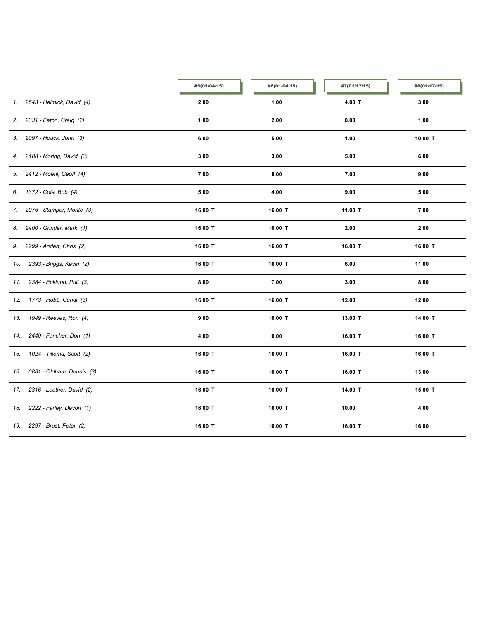|     |                             | #5(01/04/15) | #6(01/04/15) | #7(01/17/15) | #8(01/17/15) |
|-----|-----------------------------|--------------|--------------|--------------|--------------|
| 1.  | 2543 - Helmick, David (4)   | 2.00         | 1.00         | 4.00 T       | 3.00         |
| 2.  | 2331 - Eaton, Craig (2)     | 1.00         | 2.00         | 8.00         | 1.00         |
| 3.  | 2097 - Houck, John (3)      | 6.00         | 5.00         | 1.00         | 10.00 T      |
|     | 4. 2188 - Moring, David (3) | 3.00         | 3.00         | 5.00         | 6.00         |
|     | 5. 2412 - Moehl, Geoff (4)  | 7.00         | 8.00         | 7.00         | 9.00         |
|     | 6. 1372 - Cole, Bob (4)     | 5.00         | 4.00         | 9.00         | 5.00         |
| 7.  | 2076 - Stamper, Monte (3)   | 16.00 T      | 16.00 T      | 11.00 T      | 7.00         |
| 8.  | 2400 - Grinder, Mark (1)    | 16.00 T      | 16.00 T      | 2.00         | 2.00         |
| 9.  | 2299 - Andert, Chris (2)    | 16.00 T      | 16.00 T      | 16.00 T      | 16.00 T      |
| 10. | 2393 - Briggs, Kevin (2)    | 16.00 T      | 16.00 T      | 6.00         | 11.00        |
| 11. | 2384 - Ecklund, Phil (3)    | 8.00         | 7.00         | 3.00         | 8.00         |
|     | 12. 1773 - Robb, Candi (3)  | 16.00 T      | 16.00 T      | 12.00        | 12.00        |
| 13. | 1949 - Reeves, Ron (4)      | 9.00         | 16.00 T      | 13.00 T      | 14.00 T      |
| 14. | 2440 - Fancher, Don (1)     | 4.00         | 6.00         | 16.00 T      | 16.00 T      |
| 15. | 1024 - Tillema, Scott (2)   | 16.00 T      | 16.00 T      | 16.00 T      | 16.00 T      |
| 16. | 0881 - Oldham, Dennis (3)   | 16.00 T      | 16.00 T      | 16.00 T      | 13.00        |
| 17. | 2316 - Leather, David (2)   | 16.00 T      | 16.00 T      | 14.00 T      | 15.00 T      |
| 18. | 2222 - Farley, Devon (1)    | 16.00 T      | 16.00 T      | 10.00        | 4.00         |
| 19. | 2297 - Brust, Peter (2)     | 16.00 T      | 16.00 T      | 16.00 T      | 16.00        |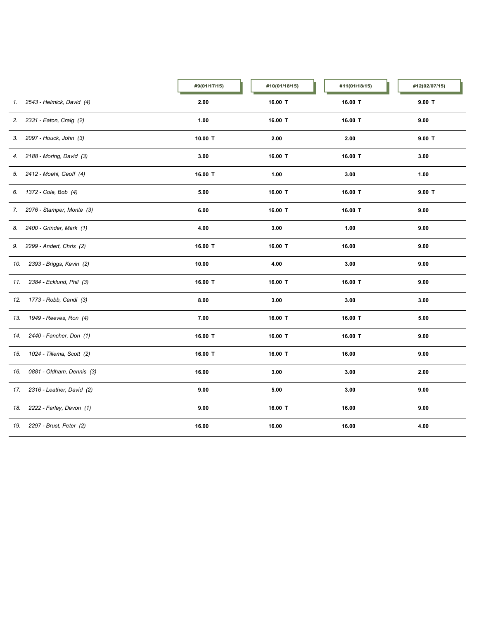|     |                             | #9(01/17/15) | #10(01/18/15) | #11(01/18/15) | #12(02/07/15) |
|-----|-----------------------------|--------------|---------------|---------------|---------------|
| 1.  | 2543 - Helmick, David (4)   | 2.00         | 16.00 T       | 16.00 T       | $9.00$ T      |
| 2.  | 2331 - Eaton, Craig (2)     | 1.00         | 16.00 T       | 16.00 T       | 9.00          |
| 3.  | 2097 - Houck, John (3)      | 10.00 T      | 2.00          | 2.00          | $9.00$ T      |
|     | 4. 2188 - Moring, David (3) | 3.00         | 16.00 T       | 16.00 T       | 3.00          |
|     | 5. 2412 - Moehl, Geoff (4)  | 16.00 T      | 1.00          | 3.00          | 1.00          |
|     | 6. 1372 - Cole, Bob (4)     | 5.00         | 16.00 T       | 16.00 T       | $9.00$ T      |
| 7.  | 2076 - Stamper, Monte (3)   | 6.00         | 16.00 T       | 16.00 T       | 9.00          |
| 8.  | 2400 - Grinder, Mark (1)    | 4.00         | 3.00          | 1.00          | 9.00          |
| 9.  | 2299 - Andert, Chris (2)    | 16.00 T      | 16.00 T       | 16.00         | 9.00          |
| 10. | 2393 - Briggs, Kevin (2)    | 10.00        | 4.00          | 3.00          | 9.00          |
| 11. | 2384 - Ecklund, Phil (3)    | 16.00 T      | 16.00 T       | 16.00 T       | 9.00          |
|     | 12. 1773 - Robb, Candi (3)  | 8.00         | 3.00          | 3.00          | 3.00          |
| 13. | 1949 - Reeves, Ron (4)      | 7.00         | 16.00 T       | 16.00 T       | 5.00          |
|     | 14. 2440 - Fancher, Don (1) | 16.00 T      | 16.00 T       | 16.00 T       | 9.00          |
| 15. | 1024 - Tillema, Scott (2)   | 16.00 T      | 16.00 T       | 16.00         | 9.00          |
| 16. | 0881 - Oldham, Dennis (3)   | 16.00        | 3.00          | 3.00          | 2.00          |
| 17. | 2316 - Leather, David (2)   | 9.00         | $5.00\,$      | 3.00          | 9.00          |
| 18. | 2222 - Farley, Devon (1)    | 9.00         | 16.00 T       | 16.00         | 9.00          |
| 19. | 2297 - Brust, Peter (2)     | 16.00        | 16.00         | 16.00         | 4.00          |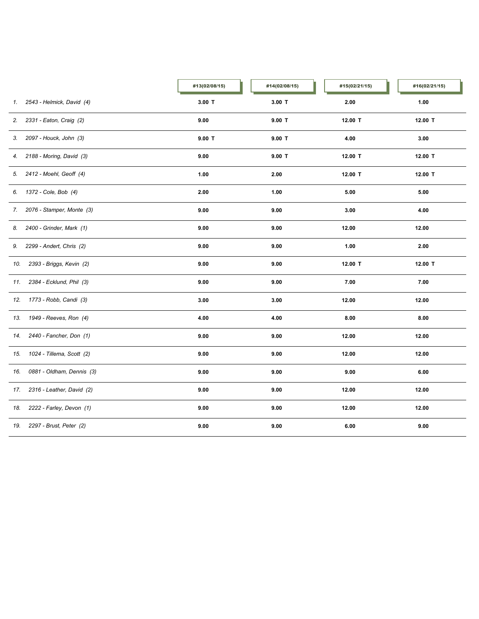|     |                               | #13(02/08/15) | #14(02/08/15) | #15(02/21/15) | #16(02/21/15) |
|-----|-------------------------------|---------------|---------------|---------------|---------------|
|     | 1. 2543 - Helmick, David (4)  | $3.00$ T      | $3.00$ T      | 2.00          | 1.00          |
| 2.  | 2331 - Eaton, Craig (2)       | 9.00          | $9.00$ T      | 12.00 T       | 12.00 T       |
| 3.  | 2097 - Houck, John (3)        | $9.00$ T      | $9.00$ T      | 4.00          | 3.00          |
|     | 4. 2188 - Moring, David (3)   | 9.00          | $9.00$ T      | 12.00 T       | 12.00 T       |
|     | 5. 2412 - Moehl, Geoff (4)    | 1.00          | 2.00          | 12.00 T       | 12.00 T       |
|     | 6. 1372 - Cole, Bob (4)       | 2.00          | 1.00          | 5.00          | 5.00          |
|     | 7. 2076 - Stamper, Monte (3)  | 9.00          | 9.00          | 3.00          | 4.00          |
| 8.  | 2400 - Grinder, Mark (1)      | 9.00          | 9.00          | 12.00         | 12.00         |
| 9.  | 2299 - Andert, Chris (2)      | 9.00          | 9.00          | 1.00          | 2.00          |
| 10. | 2393 - Briggs, Kevin (2)      | 9.00          | 9.00          | 12.00 T       | 12.00 T       |
| 11. | 2384 - Ecklund, Phil (3)      | 9.00          | 9.00          | 7.00          | 7.00          |
|     | 12. 1773 - Robb, Candi (3)    | 3.00          | 3.00          | 12.00         | 12.00         |
| 13. | 1949 - Reeves, Ron (4)        | 4.00          | 4.00          | 8.00          | 8.00          |
|     | 14. 2440 - Fancher, Don (1)   | 9.00          | 9.00          | 12.00         | 12.00         |
|     | 15. 1024 - Tillema, Scott (2) | 9.00          | 9.00          | 12.00         | 12.00         |
| 16. | 0881 - Oldham, Dennis (3)     | 9.00          | 9.00          | 9.00          | 6.00          |
| 17. | 2316 - Leather, David (2)     | 9.00          | 9.00          | 12.00         | 12.00         |
| 18. | 2222 - Farley, Devon (1)      | 9.00          | 9.00          | 12.00         | 12.00         |
| 19. | 2297 - Brust, Peter (2)       | 9.00          | 9.00          | 6.00          | 9.00          |